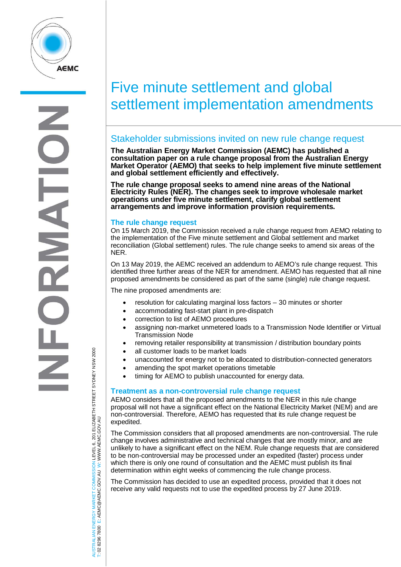

# Five minute settlement and global settlement implementation amendments

## Stakeholder submissions invited on new rule change request

**The Australian Energy Market Commission (AEMC) has published a consultation paper on a rule change proposal from the Australian Energy Market Operator (AEMO) that seeks to help implement five minute settlement and global settlement efficiently and effectively.**

**The rule change proposal seeks to amend nine areas of the National Electricity Rules (NER). The changes seek to improve wholesale market operations under five minute settlement, clarify global settlement arrangements and improve information provision requirements.**

#### **The rule change request**

On 15 March 2019, the Commission received a rule change request from AEMO relating to the implementation of the Five minute settlement and Global settlement and market reconciliation (Global settlement) rules. The rule change seeks to amend six areas of the NER.

On 13 May 2019, the AEMC received an addendum to AEMO's rule change request. This identified three further areas of the NER for amendment. AEMO has requested that all nine proposed amendments be considered as part of the same (single) rule change request.

The nine proposed amendments are:

- resolution for calculating marginal loss factors 30 minutes or shorter
- accommodating fast-start plant in pre-dispatch
- correction to list of AEMO procedures
- assigning non-market unmetered loads to a Transmission Node Identifier or Virtual Transmission Node
- removing retailer responsibility at transmission / distribution boundary points
- all customer loads to be market loads
- unaccounted for energy not to be allocated to distribution-connected generators
- amending the spot market operations timetable
- timing for AEMO to publish unaccounted for energy data.

#### **Treatment as a non-controversial rule change request**

AEMO considers that all the proposed amendments to the NER in this rule change proposal will not have a significant effect on the National Electricity Market (NEM) and are non-controversial. Therefore, AEMO has requested that its rule change request be expedited.

The Commission considers that all proposed amendments are non-controversial. The rule change involves administrative and technical changes that are mostly minor, and are unlikely to have a significant effect on the NEM. Rule change requests that are considered to be non-controversial may be processed under an expedited (faster) process under which there is only one round of consultation and the AEMC must publish its final determination within eight weeks of commencing the rule change process.

The Commission has decided to use an expedited process, provided that it does not receive any valid requests not to use the expedited process by 27 June 2019.

AUSTRALIAN ENERGY MARKET COMMISSION LEVEL 6, 201 ELIZABETH STREET SYDNEY NSW 2000 4ISSION LEVEL 6, 201 ELIZABETH STREET SYDNEY NSW 2000<br>AU W: WWW.AEMC.GOV.AU W: WWW.AEMC.GOV.AU T: 02 8296 7800 E: AEMC@AEMC.GOV.AU USTRALIAN ENERGY MARKET COMM<br>02 8296 7800 E: AEMC@AEMC.GOV.